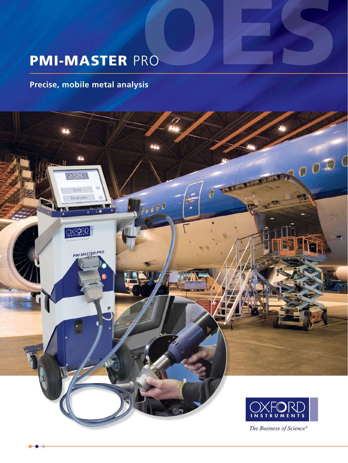# PMI-MASTER PRO PRO

### **Precise, mobile metal analysis**

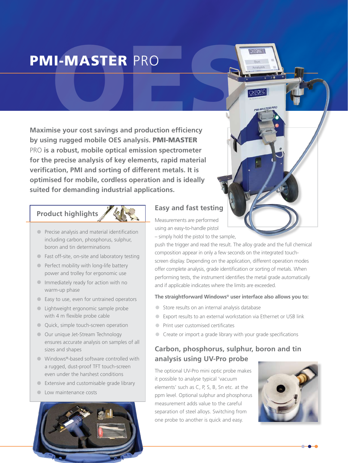# **II-MASTER** PRO PMI-MASTER PRO

**Maximise your cost savings and production efficiency by using rugged mobile OES analysis.** PMI-MASTER PRO **is a robust, mobile optical emission spectrometer for the precise analysis of key elements, rapid material verification, PMI and sorting of different metals. It is optimised for mobile, cordless operation and is ideally suited for demanding industrial applications.**

#### **Product highlights**

- **•** Precise analysis and material identification including carbon, phosphorus, sulphur, boron and tin determinations
- **•** Fast off-site, on-site and laboratory testing
- **•** Perfect mobility with long-life battery power and trolley for ergonomic use
- **•** Immediately ready for action with no warm-up phase
- **•** Easy to use, even for untrained operators
- **•** Lightweight ergonomic sample probe with 4 m flexible probe cable
- **•** Quick, simple touch-screen operation
- **•** Our unique Jet-Stream Technology ensures accurate analysis on samples of all sizes and shapes
- **•** Windows®-based software controlled with a rugged, dust-proof TFT touch-screen even under the harshest conditions
- **•** Extensive and customisable grade library
- **•** Low maintenance costs



#### **Easy and fast testing**

Measurements are performed using an easy-to-handle pistol

– simply hold the pistol to the sample,

push the trigger and read the result. The alloy grade and the full chemical composition appear in only a few seconds on the integrated touchscreen display. Depending on the application, different operation modes offer complete analysis, grade identification or sorting of metals. When performing tests, the instrument identifies the metal grade automatically and if applicable indicates where the limits are exceeded.

**OXFORD** 

**PMI-MASTER PRO** 

#### **The straightforward Windows**® **user interface also allows you to:**

- **•** Store results on an internal analysis database
- **•** Export results to an external workstation via Ethernet or USB link
- **•** Print user customised certificates
- **•** Create or import a grade library with your grade specifications

#### **Carbon, phosphorus, sulphur, boron and tin analysis using UV-Pro probe**

The optional UV-Pro mini optic probe makes it possible to analyse typical 'vacuum elements' such as C, P, S, B, Sn etc. at the ppm level. Optional sulphur and phosphorus measurement adds value to the careful separation of steel alloys. Switching from one probe to another is quick and easy.

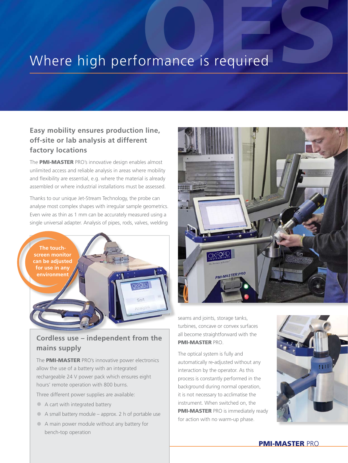## Where high performance is required

#### **Easy mobility ensures production line, off-site or lab analysis at different factory locations**

The PMI-MASTER PRO's innovative design enables almost unlimited access and reliable analysis in areas where mobility and flexibility are essential, e.g. where the material is already assembled or where industrial installations must be assessed.

Thanks to our unique Jet-Stream Technology, the probe can analyse most complex shapes with irregular sample geometrics. Even wire as thin as 1 mm can be accurately measured using a single universal adapter. Analysis of pipes, rods, valves, welding



#### **Cordless use – independent from the mains supply**

The **PMI-MASTER** PRO's innovative power electronics allow the use of a battery with an integrated rechargeable 24 V power pack which ensures eight hours' remote operation with 800 burns.

Three different power supplies are available:

- **•** A cart with integrated battery
- **•** A small battery module approx. 2 h of portable use
- **•** A main power module without any battery for bench-top operation



seams and joints, storage tanks, turbines, concave or convex surfaces all become straightforward with the PMI-MASTER PRO.

The optical system is fully and automatically re-adjusted without any interaction by the operator. As this process is constantly performed in the background during normal operation, it is not necessary to acclimatise the instrument. When switched on, the **PMI-MASTER PRO is immediately ready** for action with no warm-up phase.



#### PMI-MASTER PRO